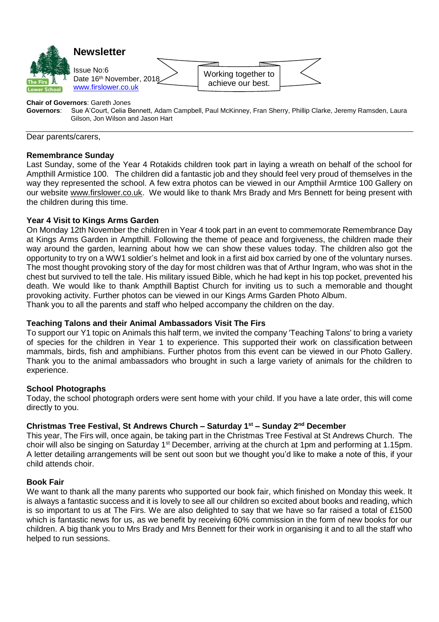

#### **Chair of Governors**: Gareth Jones

**Governors**: Sue A'Court, Celia Bennett, Adam Campbell, Paul McKinney, Fran Sherry, Phillip Clarke, Jeremy Ramsden, Laura Gilson, Jon Wilson and Jason Hart

Dear parents/carers,

#### **Remembrance Sunday**

Last Sunday, some of the Year 4 Rotakids children took part in laying a wreath on behalf of the school for Ampthill Armistice 100. The children did a fantastic job and they should feel very proud of themselves in the way they represented the school. A few extra photos can be viewed in our [Ampthiil Armtice 100 Gallery](https://www.firslower.co.uk/gallery/?pid=243&gcatid=12) on our website [www.firslower.co.uk.](http://www.firslower.co.uk/) We would like to thank Mrs Brady and Mrs Bennett for being present with the children during this time.

## **Year 4 Visit to Kings Arms Garden**

On Monday 12th November the children in Year 4 took part in an event to commemorate Remembrance Day at Kings Arms Garden in Ampthill. Following the theme of peace and forgiveness, the children made their way around the garden, learning about how we can show these values today. The children also got the opportunity to try on a WW1 soldier's helmet and look in a first aid box carried by one of the voluntary nurses. The most thought provoking story of the day for most children was that of Arthur Ingram, who was shot in the chest but survived to tell the tale. His military issued Bible, which he had kept in his top pocket, prevented his death. We would like to thank Ampthill Baptist Church for inviting us to such a memorable and thought provoking activity. Further photos can be viewed in our [Kings Arms Garden Photo Album.](https://www.firslower.co.uk/gallery/?pid=243&gcatid=12&albumid=115) Thank you to all the parents and staff who helped accompany the children on the day.

## **Teaching Talons and their Animal Ambassadors Visit The Firs**

To support our Y1 topic on Animals this half term, we invited the company 'Teaching Talons' to bring a variety of species for the children in Year 1 to experience. This supported their work on classification between mammals, birds, fish and amphibians. Further photos from this event can be viewed in our [Photo Gallery.](https://www.firslower.co.uk/gallery/?pid=243&gcatid=12&albumid=114)  Thank you to the animal ambassadors who brought in such a large variety of animals for the children to experience.

## **School Photographs**

Today, the school photograph orders were sent home with your child. If you have a late order, this will come directly to you.

# **Christmas Tree Festival, St Andrews Church – Saturday 1st – Sunday 2nd December**

This year, The Firs will, once again, be taking part in the Christmas Tree Festival at St Andrews Church. The choir will also be singing on Saturday 1<sup>st</sup> December, arriving at the church at 1pm and performing at 1.15pm. A letter detailing arrangements will be sent out soon but we thought you'd like to make a note of this, if your child attends choir.

## **Book Fair**

We want to thank all the many parents who supported our book fair, which finished on Monday this week. It is always a fantastic success and it is lovely to see all our children so excited about books and reading, which is so important to us at The Firs. We are also delighted to say that we have so far raised a total of £1500 which is fantastic news for us, as we benefit by receiving 60% commission in the form of new books for our children. A big thank you to Mrs Brady and Mrs Bennett for their work in organising it and to all the staff who helped to run sessions.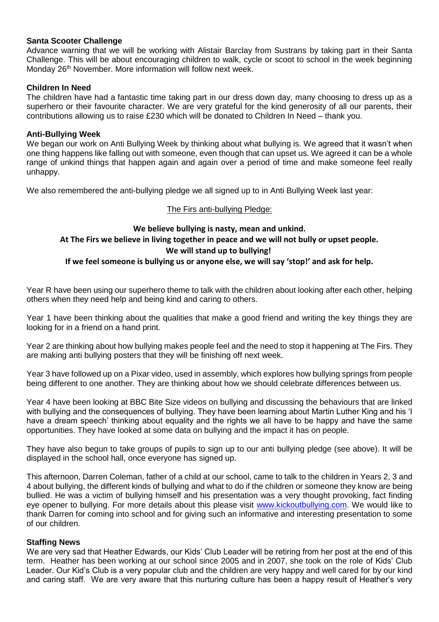# **Santa Scooter Challenge**

Advance warning that we will be working with Alistair Barclay from Sustrans by taking part in their Santa Challenge. This will be about encouraging children to walk, cycle or scoot to school in the week beginning Monday 26<sup>th</sup> November. More information will follow next week.

# **Children In Need**

The children have had a fantastic time taking part in our dress down day, many choosing to dress up as a superhero or their favourite character. We are very grateful for the kind generosity of all our parents, their contributions allowing us to raise £230 which will be donated to Children In Need – thank you.

## **Anti-Bullying Week**

We began our work on Anti Bullying Week by thinking about what bullying is. We agreed that it wasn't when one thing happens like falling out with someone, even though that can upset us. We agreed it can be a whole range of unkind things that happen again and again over a period of time and make someone feel really unhappy.

We also remembered the anti-bullying pledge we all signed up to in Anti Bullying Week last year:

## The Firs anti-bullying Pledge:

# **We believe bullying is nasty, mean and unkind. At The Firs we believe in living together in peace and we will not bully or upset people. We will stand up to bullying!**

## **If we feel someone is bullying us or anyone else, we will say 'stop!' and ask for help.**

Year R have been using our superhero theme to talk with the children about looking after each other, helping others when they need help and being kind and caring to others.

Year 1 have been thinking about the qualities that make a good friend and writing the key things they are looking for in a friend on a hand print.

Year 2 are thinking about how bullying makes people feel and the need to stop it happening at The Firs. They are making anti bullying posters that they will be finishing off next week.

Year 3 have followed up on a Pixar video, used in assembly, which explores how bullying springs from people being different to one another. They are thinking about how we should celebrate differences between us.

Year 4 have been looking at BBC Bite Size videos on bullying and discussing the behaviours that are linked with bullying and the consequences of bullying. They have been learning about Martin Luther King and his 'I have a dream speech' thinking about equality and the rights we all have to be happy and have the same opportunities. They have looked at some data on bullying and the impact it has on people.

They have also begun to take groups of pupils to sign up to our anti bullying pledge (see above). It will be displayed in the school hall, once everyone has signed up.

This afternoon, Darren Coleman, father of a child at our school, came to talk to the children in Years 2, 3 and 4 about bullying, the different kinds of bullying and what to do if the children or someone they know are being bullied. He was a victim of bullying himself and his presentation was a very thought provoking, fact finding eye opener to bullying. For more details about this please visit [www.kickoutbullying.com.](http://www.kickoutbullying.com/) We would like to thank Darren for coming into school and for giving such an informative and interesting presentation to some of our children.

## **Staffing News**

We are very sad that Heather Edwards, our Kids' Club Leader will be retiring from her post at the end of this term. Heather has been working at our school since 2005 and in 2007, she took on the role of Kids' Club Leader. Our Kid's Club is a very popular club and the children are very happy and well cared for by our kind and caring staff. We are very aware that this nurturing culture has been a happy result of Heather's very